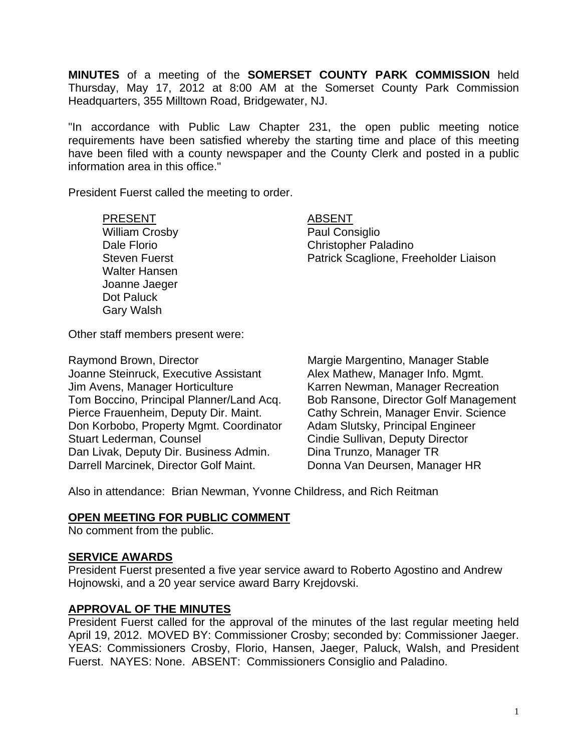**MINUTES** of a meeting of the **SOMERSET COUNTY PARK COMMISSION** held Thursday, May 17, 2012 at 8:00 AM at the Somerset County Park Commission Headquarters, 355 Milltown Road, Bridgewater, NJ.

"In accordance with Public Law Chapter 231, the open public meeting notice requirements have been satisfied whereby the starting time and place of this meeting have been filed with a county newspaper and the County Clerk and posted in a public information area in this office."

President Fuerst called the meeting to order.

PRESENT ABSENT

William Crosby **Paul Consiglio**  Walter Hansen Joanne Jaeger Dot Paluck Gary Walsh

Dale Florio Christopher Paladino Steven Fuerst **Patrick Scaglione, Freeholder Liaison** 

Other staff members present were:

Raymond Brown, Director **Margie Margie Margentino, Manager Stable** Joanne Steinruck, Executive Assistant Alex Mathew, Manager Info. Mgmt. Jim Avens, Manager Horticulture Karren Newman, Manager Recreation Tom Boccino, Principal Planner/Land Acq. Bob Ransone, Director Golf Management Pierce Frauenheim, Deputy Dir. Maint. Cathy Schrein, Manager Envir. Science Don Korbobo, Property Mgmt. Coordinator Adam Slutsky, Principal Engineer Stuart Lederman, Counsel **Conserverse Conserverse Cindie Sullivan, Deputy Director** Dan Livak, Deputy Dir. Business Admin. Dina Trunzo, Manager TR Darrell Marcinek, Director Golf Maint. Donna Van Deursen, Manager HR

Also in attendance: Brian Newman, Yvonne Childress, and Rich Reitman

### **OPEN MEETING FOR PUBLIC COMMENT**

No comment from the public.

### **SERVICE AWARDS**

President Fuerst presented a five year service award to Roberto Agostino and Andrew Hojnowski, and a 20 year service award Barry Krejdovski.

# **APPROVAL OF THE MINUTES**

President Fuerst called for the approval of the minutes of the last regular meeting held April 19, 2012. MOVED BY: Commissioner Crosby; seconded by: Commissioner Jaeger. YEAS: Commissioners Crosby, Florio, Hansen, Jaeger, Paluck, Walsh, and President Fuerst. NAYES: None. ABSENT: Commissioners Consiglio and Paladino.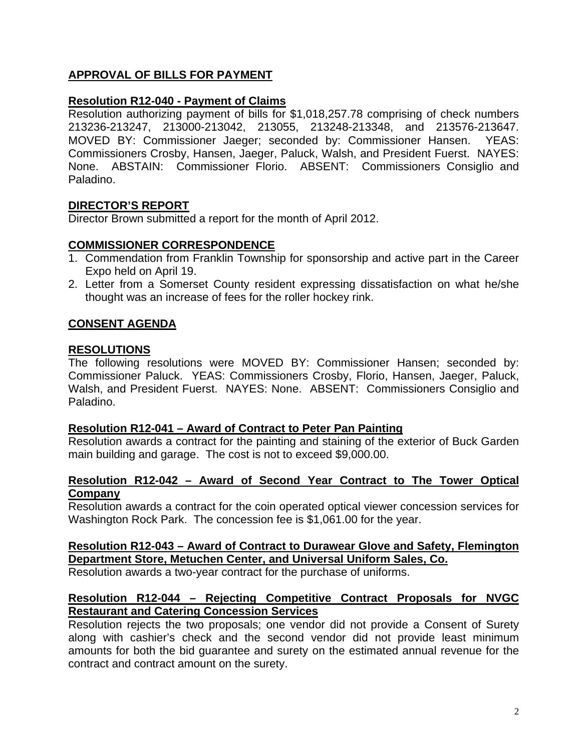# **APPROVAL OF BILLS FOR PAYMENT**

# **Resolution R12-040 - Payment of Claims**

Resolution authorizing payment of bills for \$1,018,257.78 comprising of check numbers 213236-213247, 213000-213042, 213055, 213248-213348, and 213576-213647. MOVED BY: Commissioner Jaeger; seconded by: Commissioner Hansen. YEAS: Commissioners Crosby, Hansen, Jaeger, Paluck, Walsh, and President Fuerst. NAYES: None. ABSTAIN: Commissioner Florio. ABSENT: Commissioners Consiglio and Paladino.

# **DIRECTOR'S REPORT**

Director Brown submitted a report for the month of April 2012.

# **COMMISSIONER CORRESPONDENCE**

- 1. Commendation from Franklin Township for sponsorship and active part in the Career Expo held on April 19.
- 2. Letter from a Somerset County resident expressing dissatisfaction on what he/she thought was an increase of fees for the roller hockey rink.

# **CONSENT AGENDA**

# **RESOLUTIONS**

The following resolutions were MOVED BY: Commissioner Hansen; seconded by: Commissioner Paluck. YEAS: Commissioners Crosby, Florio, Hansen, Jaeger, Paluck, Walsh, and President Fuerst. NAYES: None. ABSENT: Commissioners Consiglio and Paladino.

### **Resolution R12-041 – Award of Contract to Peter Pan Painting**

Resolution awards a contract for the painting and staining of the exterior of Buck Garden main building and garage. The cost is not to exceed \$9,000.00.

### **Resolution R12-042 – Award of Second Year Contract to The Tower Optical Company**

Resolution awards a contract for the coin operated optical viewer concession services for Washington Rock Park. The concession fee is \$1,061.00 for the year.

# **Resolution R12-043 – Award of Contract to Durawear Glove and Safety, Flemington Department Store, Metuchen Center, and Universal Uniform Sales, Co.**

Resolution awards a two-year contract for the purchase of uniforms.

# **Resolution R12-044 – Rejecting Competitive Contract Proposals for NVGC Restaurant and Catering Concession Services**

Resolution rejects the two proposals; one vendor did not provide a Consent of Surety along with cashier's check and the second vendor did not provide least minimum amounts for both the bid guarantee and surety on the estimated annual revenue for the contract and contract amount on the surety.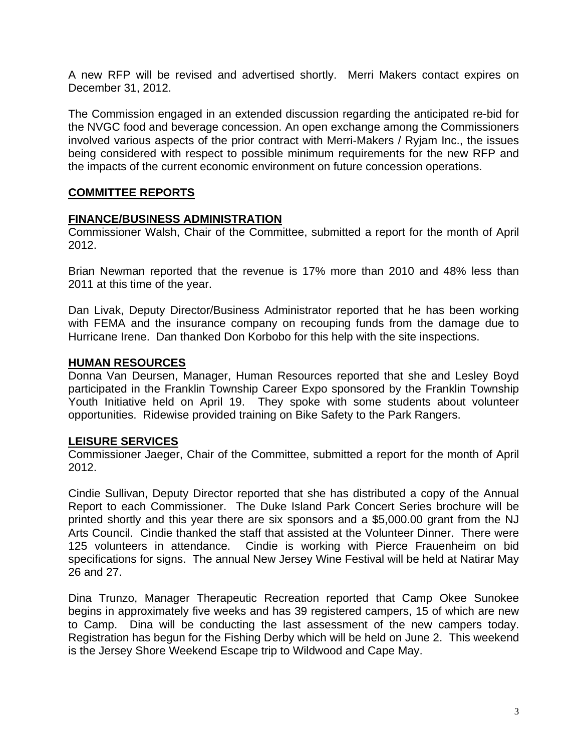A new RFP will be revised and advertised shortly. Merri Makers contact expires on December 31, 2012.

The Commission engaged in an extended discussion regarding the anticipated re-bid for the NVGC food and beverage concession. An open exchange among the Commissioners involved various aspects of the prior contract with Merri-Makers / Ryjam Inc., the issues being considered with respect to possible minimum requirements for the new RFP and the impacts of the current economic environment on future concession operations.

# **COMMITTEE REPORTS**

### **FINANCE/BUSINESS ADMINISTRATION**

Commissioner Walsh, Chair of the Committee, submitted a report for the month of April 2012.

Brian Newman reported that the revenue is 17% more than 2010 and 48% less than 2011 at this time of the year.

Dan Livak, Deputy Director/Business Administrator reported that he has been working with FEMA and the insurance company on recouping funds from the damage due to Hurricane Irene. Dan thanked Don Korbobo for this help with the site inspections.

#### **HUMAN RESOURCES**

Donna Van Deursen, Manager, Human Resources reported that she and Lesley Boyd participated in the Franklin Township Career Expo sponsored by the Franklin Township Youth Initiative held on April 19. They spoke with some students about volunteer opportunities. Ridewise provided training on Bike Safety to the Park Rangers.

### **LEISURE SERVICES**

Commissioner Jaeger, Chair of the Committee, submitted a report for the month of April 2012.

Cindie Sullivan, Deputy Director reported that she has distributed a copy of the Annual Report to each Commissioner. The Duke Island Park Concert Series brochure will be printed shortly and this year there are six sponsors and a \$5,000.00 grant from the NJ Arts Council. Cindie thanked the staff that assisted at the Volunteer Dinner. There were 125 volunteers in attendance. Cindie is working with Pierce Frauenheim on bid specifications for signs. The annual New Jersey Wine Festival will be held at Natirar May 26 and 27.

Dina Trunzo, Manager Therapeutic Recreation reported that Camp Okee Sunokee begins in approximately five weeks and has 39 registered campers, 15 of which are new to Camp. Dina will be conducting the last assessment of the new campers today. Registration has begun for the Fishing Derby which will be held on June 2. This weekend is the Jersey Shore Weekend Escape trip to Wildwood and Cape May.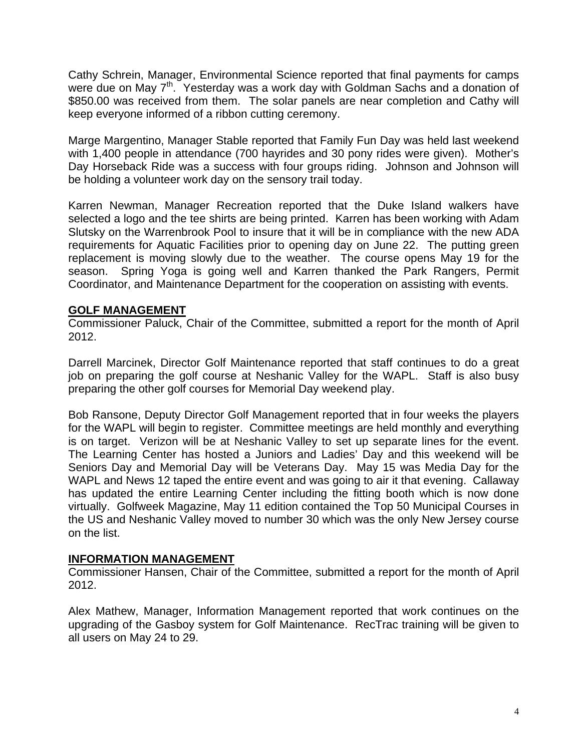Cathy Schrein, Manager, Environmental Science reported that final payments for camps were due on May 7<sup>th</sup>. Yesterday was a work day with Goldman Sachs and a donation of \$850.00 was received from them. The solar panels are near completion and Cathy will keep everyone informed of a ribbon cutting ceremony.

Marge Margentino, Manager Stable reported that Family Fun Day was held last weekend with 1,400 people in attendance (700 hayrides and 30 pony rides were given). Mother's Day Horseback Ride was a success with four groups riding. Johnson and Johnson will be holding a volunteer work day on the sensory trail today.

Karren Newman, Manager Recreation reported that the Duke Island walkers have selected a logo and the tee shirts are being printed. Karren has been working with Adam Slutsky on the Warrenbrook Pool to insure that it will be in compliance with the new ADA requirements for Aquatic Facilities prior to opening day on June 22. The putting green replacement is moving slowly due to the weather. The course opens May 19 for the season. Spring Yoga is going well and Karren thanked the Park Rangers, Permit Coordinator, and Maintenance Department for the cooperation on assisting with events.

### **GOLF MANAGEMENT**

Commissioner Paluck, Chair of the Committee, submitted a report for the month of April 2012.

Darrell Marcinek, Director Golf Maintenance reported that staff continues to do a great job on preparing the golf course at Neshanic Valley for the WAPL. Staff is also busy preparing the other golf courses for Memorial Day weekend play.

Bob Ransone, Deputy Director Golf Management reported that in four weeks the players for the WAPL will begin to register. Committee meetings are held monthly and everything is on target. Verizon will be at Neshanic Valley to set up separate lines for the event. The Learning Center has hosted a Juniors and Ladies' Day and this weekend will be Seniors Day and Memorial Day will be Veterans Day. May 15 was Media Day for the WAPL and News 12 taped the entire event and was going to air it that evening. Callaway has updated the entire Learning Center including the fitting booth which is now done virtually. Golfweek Magazine, May 11 edition contained the Top 50 Municipal Courses in the US and Neshanic Valley moved to number 30 which was the only New Jersey course on the list.

### **INFORMATION MANAGEMENT**

Commissioner Hansen, Chair of the Committee, submitted a report for the month of April 2012.

Alex Mathew, Manager, Information Management reported that work continues on the upgrading of the Gasboy system for Golf Maintenance. RecTrac training will be given to all users on May 24 to 29.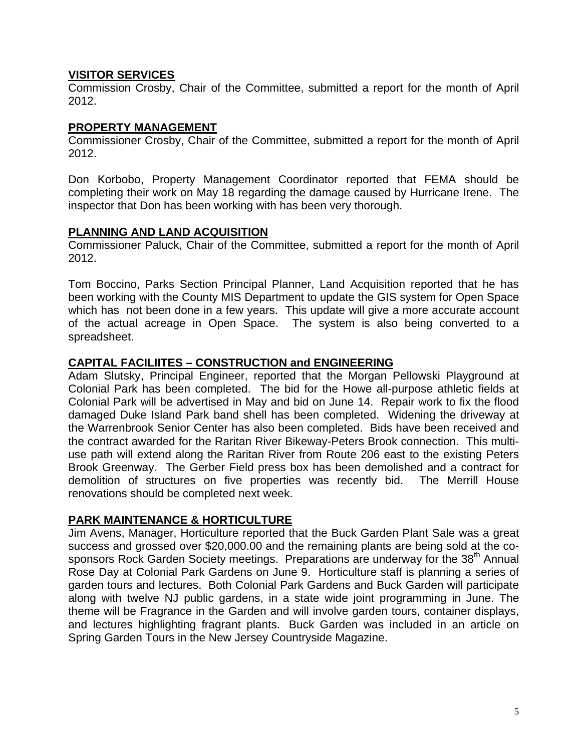# **VISITOR SERVICES**

Commission Crosby, Chair of the Committee, submitted a report for the month of April 2012.

### **PROPERTY MANAGEMENT**

Commissioner Crosby, Chair of the Committee, submitted a report for the month of April 2012.

Don Korbobo, Property Management Coordinator reported that FEMA should be completing their work on May 18 regarding the damage caused by Hurricane Irene. The inspector that Don has been working with has been very thorough.

# **PLANNING AND LAND ACQUISITION**

Commissioner Paluck, Chair of the Committee, submitted a report for the month of April 2012.

Tom Boccino, Parks Section Principal Planner, Land Acquisition reported that he has been working with the County MIS Department to update the GIS system for Open Space which has not been done in a few years. This update will give a more accurate account of the actual acreage in Open Space. The system is also being converted to a spreadsheet.

# **CAPITAL FACILIITES – CONSTRUCTION and ENGINEERING**

Adam Slutsky, Principal Engineer, reported that the Morgan Pellowski Playground at Colonial Park has been completed. The bid for the Howe all-purpose athletic fields at Colonial Park will be advertised in May and bid on June 14. Repair work to fix the flood damaged Duke Island Park band shell has been completed. Widening the driveway at the Warrenbrook Senior Center has also been completed. Bids have been received and the contract awarded for the Raritan River Bikeway-Peters Brook connection. This multiuse path will extend along the Raritan River from Route 206 east to the existing Peters Brook Greenway. The Gerber Field press box has been demolished and a contract for demolition of structures on five properties was recently bid. The Merrill House renovations should be completed next week.

# **PARK MAINTENANCE & HORTICULTURE**

Jim Avens, Manager, Horticulture reported that the Buck Garden Plant Sale was a great success and grossed over \$20,000.00 and the remaining plants are being sold at the cosponsors Rock Garden Society meetings. Preparations are underway for the 38<sup>th</sup> Annual Rose Day at Colonial Park Gardens on June 9. Horticulture staff is planning a series of garden tours and lectures. Both Colonial Park Gardens and Buck Garden will participate along with twelve NJ public gardens, in a state wide joint programming in June. The theme will be Fragrance in the Garden and will involve garden tours, container displays, and lectures highlighting fragrant plants. Buck Garden was included in an article on Spring Garden Tours in the New Jersey Countryside Magazine.